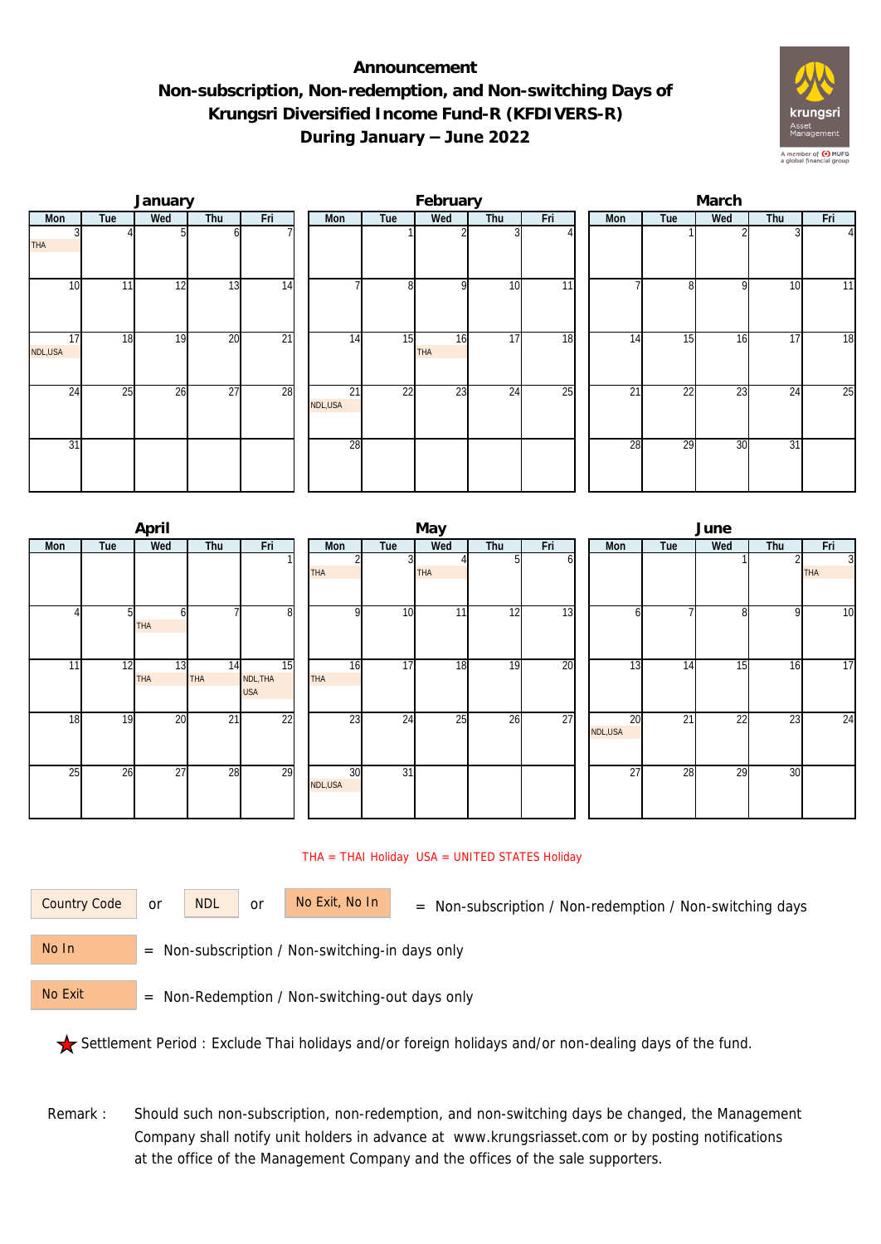## **Announcement Non-subscription, Non-redemption, and Non-switching Days of Krungsri Diversified Income Fund-R (KFDIVERS-R) During January – June 2022**



|               |     | January |                 |                 | February      |     |                  |                 |                 |  | March |                 |     |     |          |  |  |
|---------------|-----|---------|-----------------|-----------------|---------------|-----|------------------|-----------------|-----------------|--|-------|-----------------|-----|-----|----------|--|--|
| Mon           | Tue | Wed     | Thu             | Fri             | Mon           | Tue | Wed              | Thu             | Fri             |  | Mon   | Tue             | Wed | Thu | Fri      |  |  |
| <b>THA</b>    |     |         |                 |                 |               |     |                  |                 |                 |  |       |                 |     |     | $\Delta$ |  |  |
| 10            | 11  | 12      | 13              | $\overline{14}$ |               | 8   | <sup>Q</sup>     | 10              | $\overline{11}$ |  |       | 81              | 9   | 10  | 11       |  |  |
| 17<br>NDL,USA | 18  | 19      | 20              | $\overline{21}$ | 14            | 15  | 16<br><b>THA</b> | 17              | 18              |  | 14    | 15              | 16  | 17  | 18       |  |  |
| 24            | 25  | 26      | $\overline{27}$ | 28              | 21<br>NDL,USA | 22  | 23               | $2\overline{4}$ | 25              |  | 21    | $2\overline{2}$ | 23  | 24  | 25       |  |  |
| 31            |     |         |                 |                 | 28            |     |                  |                 |                 |  | 28    | 29              | 30  | 31  |          |  |  |

|            |     | April            |                  |                              | May              |                 |     |     |     |  |                 | June            |     |                 |                              |  |  |  |
|------------|-----|------------------|------------------|------------------------------|------------------|-----------------|-----|-----|-----|--|-----------------|-----------------|-----|-----------------|------------------------------|--|--|--|
| <b>Mon</b> | Tue | Wed              | Thu              | Fri                          | Mon              | Tue             | Wed | Thu | Fri |  | <b>Mon</b>      | Tue             | Wed | Thu             | Fri                          |  |  |  |
|            |     |                  |                  |                              | <b>THA</b>       |                 | THA |     | ΩI  |  |                 |                 |     |                 | $\overline{3}$<br><b>THA</b> |  |  |  |
|            | 51  | n<br><b>THA</b>  |                  | 8                            | <sup>Q</sup>     | 10              | 11  | 12  | 13  |  | n               |                 | 8   | 9               | 10                           |  |  |  |
| 11         | 12  | 13<br><b>THA</b> | 14<br><b>THA</b> | 15<br>NDL, THA<br><b>USA</b> | 16<br><b>THA</b> | 17              | 18  | 19  | 20  |  | 13              | 14              | 15  | 16              | 17                           |  |  |  |
| 18         | 19  | 20               | $\overline{21}$  | 22                           | $2\overline{3}$  | 24              | 25  | 26  | 27  |  | 20<br>NDL,USA   | $\overline{21}$ | 22  | $2\overline{3}$ | 24                           |  |  |  |
| 25         | 26  | 27               | 28               | 29                           | 30<br>NDL, USA   | $\overline{31}$ |     |     |     |  | $\overline{27}$ | 28              | 29  | 30              |                              |  |  |  |

## THA = THAI Holiday USA = UNITED STATES Holiday

or NDL or

Country Code or NDL or No Exit, No In = Non-subscription / Non-redemption / Non-switching days

 = Non-subscription / Non-switching-in days only No In

 = Non-Redemption / Non-switching-out days only No Exit

Settlement Period : Exclude Thai holidays and/or foreign holidays and/or non-dealing days of the fund.

Remark : Should such non-subscription, non-redemption, and non-switching days be changed, the Management Company shall notify unit holders in advance at www.krungsriasset.com or by posting notifications at the office of the Management Company and the offices of the sale supporters.